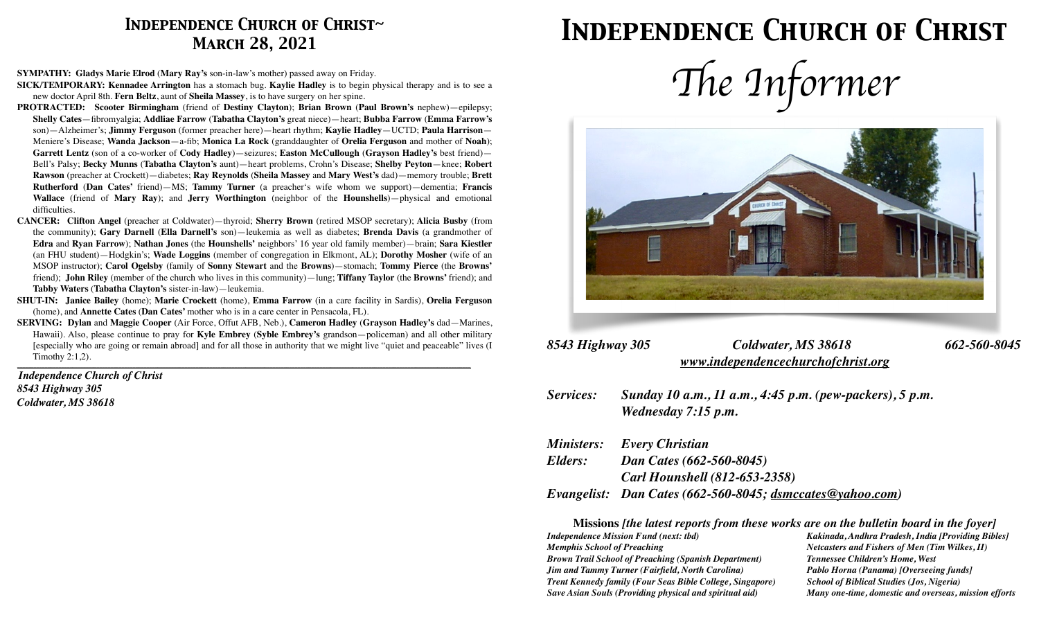## *Independence Church of Christ~ March 28, 2021*

# *Independence Church of Christ*

**SYMPATHY: Gladys Marie Elrod** (**Mary Ray's** son-in-law's mother) passed away on Friday.

- **SICK/TEMPORARY: Kennadee Arrington** has a stomach bug. **Kaylie Hadley** is to begin physical therapy and is to see a new doctor April 8th. **Fern Beltz**, aunt of **Sheila Massey**, is to have surgery on her spine.
- **PROTRACTED: Scooter Birmingham** (friend of **Destiny Clayton**); **Brian Brown** (**Paul Brown's** nephew)—epilepsy; **Shelly Cates**—fibromyalgia; **Addliae Farrow** (**Tabatha Clayton's** great niece)—heart; **Bubba Farrow** (**Emma Farrow's**  son)—Alzheimer's; **Jimmy Ferguson** (former preacher here)—heart rhythm; **Kaylie Hadley**—UCTD; **Paula Harrison**— Meniere's Disease; **Wanda Jackson**—a-fib; **Monica La Rock** (granddaughter of **Orelia Ferguson** and mother of **Noah**); **Garrett Lentz** (son of a co-worker of **Cody Hadley**)—seizures; **Easton McCullough** (**Grayson Hadley's** best friend)— Bell's Palsy; **Becky Munns** (**Tabatha Clayton's** aunt)—heart problems, Crohn's Disease; **Shelby Peyton**—knee; **Robert Rawson** (preacher at Crockett)—diabetes; **Ray Reynolds** (**Sheila Massey** and **Mary West's** dad)—memory trouble; **Brett Rutherford** (**Dan Cates'** friend)—MS; **Tammy Turner** (a preacher's wife whom we support)—dementia; **Francis Wallace** (friend of **Mary Ray**); and **Jerry Worthington** (neighbor of the **Hounshells**)—physical and emotional difficulties.
- **CANCER: Clifton Angel** (preacher at Coldwater)—thyroid; **Sherry Brown** (retired MSOP secretary); **Alicia Busby** (from the community); **Gary Darnell** (**Ella Darnell's** son)—leukemia as well as diabetes; **Brenda Davis** (a grandmother of **Edra** and **Ryan Farrow**); **Nathan Jones** (the **Hounshells'** neighbors' 16 year old family member)—brain; **Sara Kiestler** (an FHU student)—Hodgkin's; **Wade Loggins** (member of congregation in Elkmont, AL); **Dorothy Mosher** (wife of an MSOP instructor); **Carol Ogelsby** (family of **Sonny Stewart** and the **Browns**)—stomach; **Tommy Pierce** (the **Browns'** friend); **John Riley** (member of the church who lives in this community)—lung; **Tiffany Taylor** (the **Browns'** friend); and **Tabby Waters** (**Tabatha Clayton's** sister-in-law)—leukemia.
- **SHUT-IN: Janice Bailey** (home); **Marie Crockett** (home), **Emma Farrow** (in a care facility in Sardis), **Orelia Ferguson**  (home), and **Annette Cates** (**Dan Cates'** mother who is in a care center in Pensacola, FL).
- **SERVING: Dylan** and **Maggie Cooper** (Air Force, Offut AFB, Neb.), **Cameron Hadley** (**Grayson Hadley's** dad—Marines, Hawaii). Also, please continue to pray for **Kyle Embrey** (**Syble Embrey's** grandson—policeman) and all other military [especially who are going or remain abroad] and for all those in authority that we might live "quiet and peaceable" lives (I Timothy 2:1,2).

*\_\_\_\_\_\_\_\_\_\_\_\_\_\_\_\_\_\_\_\_\_\_\_\_\_\_\_\_\_\_\_\_\_\_\_\_\_\_\_\_\_\_\_\_\_\_\_\_\_\_\_\_\_\_\_\_\_\_\_\_\_\_\_\_\_\_\_\_\_\_\_\_\_\_\_\_\_\_\_\_\_\_\_\_\_\_\_\_\_\_\_\_\_\_\_\_\_\_\_\_\_\_\_\_\_\_\_\_\_\_\_\_\_\_\_\_\_\_\_\_\_\_\_\_\_\_\_\_\_\_\_\_\_\_\_\_\_\_\_\_\_\_\_\_\_\_\_\_\_\_\_\_\_\_\_\_\_\_\_\_\_\_\_\_\_* 

*Independence Church of Christ 8543 Highway 305 Coldwater, MS 38618*





| 8543 Highway 305 | Coldwater, MS 38618                | 662-560-8045 |
|------------------|------------------------------------|--------------|
|                  | www.independencechurchofchrist.org |              |

*Services: Sunday 10 a.m., 11 a.m., 4:45 p.m. (pew-packers), 5 p.m. Wednesday 7:15 p.m.* 

|         | <b>Ministers:</b> Every Christian                         |
|---------|-----------------------------------------------------------|
| Elders: | Dan Cates (662-560-8045)                                  |
|         | <b>Carl Hounshell (812-653-2358)</b>                      |
|         | Evangelist: Dan Cates (662-560-8045; dsmccates@yahoo.com) |

**Missions** *[the latest reports from these works are on the bulletin board in the foyer]* 

*Independence Mission Fund (next: tbd) Kakinada, Andhra Pradesh, India [Providing Bibles] Memphis School of Preaching*  $N$ etcasters and Fishers of Men (Tim Wilkes, II) *Brown Trail School of Preaching (Spanish Department) Tennessee Children's Home, West Jim and Tammy Turner (Fairfield, North Carolina) Pablo Horna (Panama) [Overseeing funds] Trent Kennedy family (Four Seas Bible College, Singapore) School of Biblical Studies (Jos, Nigeria) Save Asian Souls (Providing physical and spiritual aid) Many one-time, domestic and overseas, mission efforts*